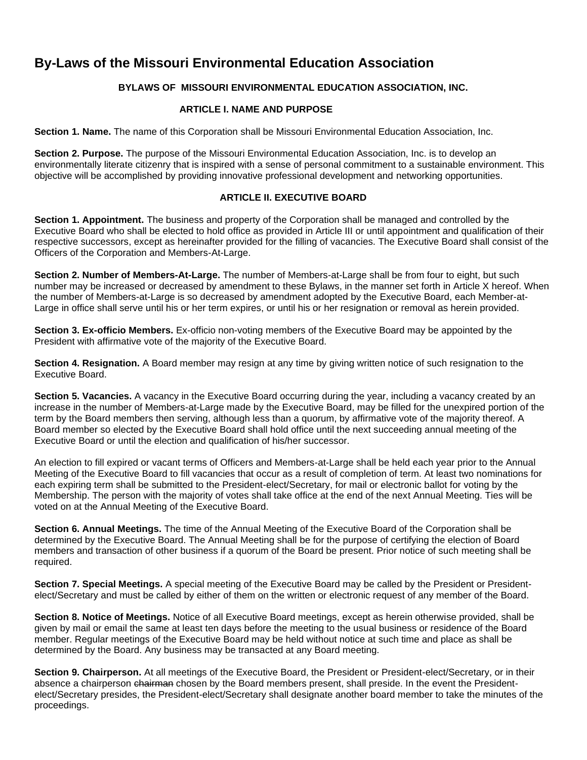# **By-Laws of the Missouri Environmental Education Association**

## **BYLAWS OF MISSOURI ENVIRONMENTAL EDUCATION ASSOCIATION, INC.**

## **ARTICLE I. NAME AND PURPOSE**

**Section 1. Name.** The name of this Corporation shall be Missouri Environmental Education Association, Inc.

**Section 2. Purpose.** The purpose of the Missouri Environmental Education Association, Inc. is to develop an environmentally literate citizenry that is inspired with a sense of personal commitment to a sustainable environment. This objective will be accomplished by providing innovative professional development and networking opportunities.

## **ARTICLE II. EXECUTIVE BOARD**

**Section 1. Appointment.** The business and property of the Corporation shall be managed and controlled by the Executive Board who shall be elected to hold office as provided in Article III or until appointment and qualification of their respective successors, except as hereinafter provided for the filling of vacancies. The Executive Board shall consist of the Officers of the Corporation and Members-At-Large.

**Section 2. Number of Members-At-Large.** The number of Members-at-Large shall be from four to eight, but such number may be increased or decreased by amendment to these Bylaws, in the manner set forth in Article X hereof. When the number of Members-at-Large is so decreased by amendment adopted by the Executive Board, each Member-at-Large in office shall serve until his or her term expires, or until his or her resignation or removal as herein provided.

**Section 3. Ex-officio Members.** Ex-officio non-voting members of the Executive Board may be appointed by the President with affirmative vote of the majority of the Executive Board.

**Section 4. Resignation.** A Board member may resign at any time by giving written notice of such resignation to the Executive Board.

**Section 5. Vacancies.** A vacancy in the Executive Board occurring during the year, including a vacancy created by an increase in the number of Members-at-Large made by the Executive Board, may be filled for the unexpired portion of the term by the Board members then serving, although less than a quorum, by affirmative vote of the majority thereof. A Board member so elected by the Executive Board shall hold office until the next succeeding annual meeting of the Executive Board or until the election and qualification of his/her successor.

An election to fill expired or vacant terms of Officers and Members-at-Large shall be held each year prior to the Annual Meeting of the Executive Board to fill vacancies that occur as a result of completion of term. At least two nominations for each expiring term shall be submitted to the President-elect/Secretary, for mail or electronic ballot for voting by the Membership. The person with the majority of votes shall take office at the end of the next Annual Meeting. Ties will be voted on at the Annual Meeting of the Executive Board.

**Section 6. Annual Meetings.** The time of the Annual Meeting of the Executive Board of the Corporation shall be determined by the Executive Board. The Annual Meeting shall be for the purpose of certifying the election of Board members and transaction of other business if a quorum of the Board be present. Prior notice of such meeting shall be required.

**Section 7. Special Meetings.** A special meeting of the Executive Board may be called by the President or Presidentelect/Secretary and must be called by either of them on the written or electronic request of any member of the Board.

**Section 8. Notice of Meetings.** Notice of all Executive Board meetings, except as herein otherwise provided, shall be given by mail or email the same at least ten days before the meeting to the usual business or residence of the Board member. Regular meetings of the Executive Board may be held without notice at such time and place as shall be determined by the Board. Any business may be transacted at any Board meeting.

Section 9. Chairperson. At all meetings of the Executive Board, the President or President-elect/Secretary, or in their absence a chairperson chairman chosen by the Board members present, shall preside. In the event the Presidentelect/Secretary presides, the President-elect/Secretary shall designate another board member to take the minutes of the proceedings.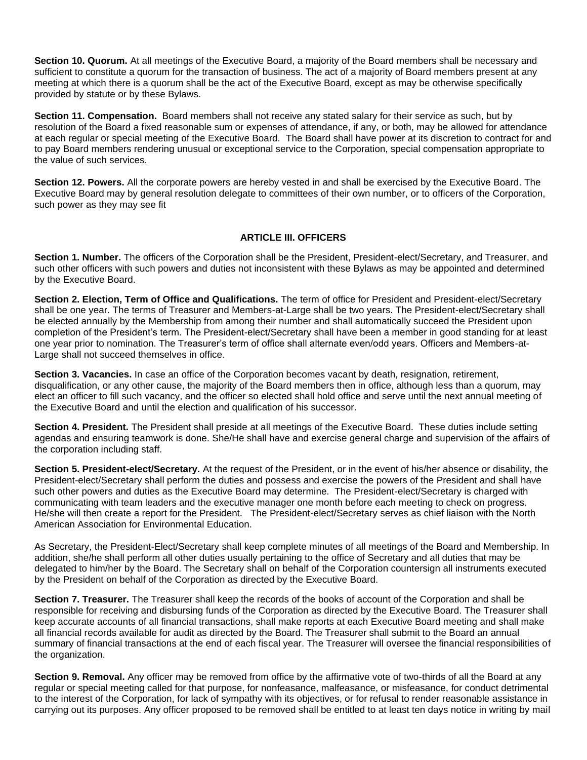**Section 10. Quorum.** At all meetings of the Executive Board, a majority of the Board members shall be necessary and sufficient to constitute a quorum for the transaction of business. The act of a majority of Board members present at any meeting at which there is a quorum shall be the act of the Executive Board, except as may be otherwise specifically provided by statute or by these Bylaws.

**Section 11. Compensation.** Board members shall not receive any stated salary for their service as such, but by resolution of the Board a fixed reasonable sum or expenses of attendance, if any, or both, may be allowed for attendance at each regular or special meeting of the Executive Board. The Board shall have power at its discretion to contract for and to pay Board members rendering unusual or exceptional service to the Corporation, special compensation appropriate to the value of such services.

**Section 12. Powers.** All the corporate powers are hereby vested in and shall be exercised by the Executive Board. The Executive Board may by general resolution delegate to committees of their own number, or to officers of the Corporation, such power as they may see fit

## **ARTICLE III. OFFICERS**

**Section 1. Number.** The officers of the Corporation shall be the President, President-elect/Secretary, and Treasurer, and such other officers with such powers and duties not inconsistent with these Bylaws as may be appointed and determined by the Executive Board.

**Section 2. Election, Term of Office and Qualifications.** The term of office for President and President-elect/Secretary shall be one year. The terms of Treasurer and Members-at-Large shall be two years. The President-elect/Secretary shall be elected annually by the Membership from among their number and shall automatically succeed the President upon completion of the President's term. The President-elect/Secretary shall have been a member in good standing for at least one year prior to nomination. The Treasurer's term of office shall alternate even/odd years. Officers and Members-at-Large shall not succeed themselves in office.

**Section 3. Vacancies.** In case an office of the Corporation becomes vacant by death, resignation, retirement, disqualification, or any other cause, the majority of the Board members then in office, although less than a quorum, may elect an officer to fill such vacancy, and the officer so elected shall hold office and serve until the next annual meeting of the Executive Board and until the election and qualification of his successor.

**Section 4. President.** The President shall preside at all meetings of the Executive Board. These duties include setting agendas and ensuring teamwork is done. She/He shall have and exercise general charge and supervision of the affairs of the corporation including staff.

**Section 5. President-elect/Secretary.** At the request of the President, or in the event of his/her absence or disability, the President-elect/Secretary shall perform the duties and possess and exercise the powers of the President and shall have such other powers and duties as the Executive Board may determine. The President-elect/Secretary is charged with communicating with team leaders and the executive manager one month before each meeting to check on progress. He/she will then create a report for the President. The President-elect/Secretary serves as chief liaison with the North American Association for Environmental Education.

As Secretary, the President-Elect/Secretary shall keep complete minutes of all meetings of the Board and Membership. In addition, she/he shall perform all other duties usually pertaining to the office of Secretary and all duties that may be delegated to him/her by the Board. The Secretary shall on behalf of the Corporation countersign all instruments executed by the President on behalf of the Corporation as directed by the Executive Board.

**Section 7. Treasurer.** The Treasurer shall keep the records of the books of account of the Corporation and shall be responsible for receiving and disbursing funds of the Corporation as directed by the Executive Board. The Treasurer shall keep accurate accounts of all financial transactions, shall make reports at each Executive Board meeting and shall make all financial records available for audit as directed by the Board. The Treasurer shall submit to the Board an annual summary of financial transactions at the end of each fiscal year. The Treasurer will oversee the financial responsibilities of the organization.

**Section 9. Removal.** Any officer may be removed from office by the affirmative vote of two-thirds of all the Board at any regular or special meeting called for that purpose, for nonfeasance, malfeasance, or misfeasance, for conduct detrimental to the interest of the Corporation, for lack of sympathy with its objectives, or for refusal to render reasonable assistance in carrying out its purposes. Any officer proposed to be removed shall be entitled to at least ten days notice in writing by mail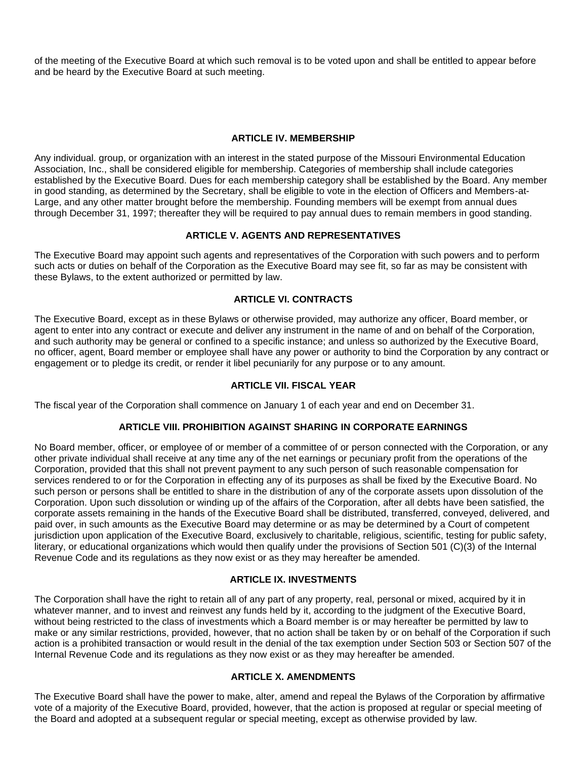of the meeting of the Executive Board at which such removal is to be voted upon and shall be entitled to appear before and be heard by the Executive Board at such meeting.

### **ARTICLE IV. MEMBERSHIP**

Any individual. group, or organization with an interest in the stated purpose of the Missouri Environmental Education Association, Inc., shall be considered eligible for membership. Categories of membership shall include categories established by the Executive Board. Dues for each membership category shall be established by the Board. Any member in good standing, as determined by the Secretary, shall be eligible to vote in the election of Officers and Members-at-Large, and any other matter brought before the membership. Founding members will be exempt from annual dues through December 31, 1997; thereafter they will be required to pay annual dues to remain members in good standing.

## **ARTICLE V. AGENTS AND REPRESENTATIVES**

The Executive Board may appoint such agents and representatives of the Corporation with such powers and to perform such acts or duties on behalf of the Corporation as the Executive Board may see fit, so far as may be consistent with these Bylaws, to the extent authorized or permitted by law.

## **ARTICLE VI. CONTRACTS**

The Executive Board, except as in these Bylaws or otherwise provided, may authorize any officer, Board member, or agent to enter into any contract or execute and deliver any instrument in the name of and on behalf of the Corporation, and such authority may be general or confined to a specific instance; and unless so authorized by the Executive Board, no officer, agent, Board member or employee shall have any power or authority to bind the Corporation by any contract or engagement or to pledge its credit, or render it libel pecuniarily for any purpose or to any amount.

## **ARTICLE VII. FISCAL YEAR**

The fiscal year of the Corporation shall commence on January 1 of each year and end on December 31.

## **ARTICLE VIII. PROHIBITION AGAINST SHARING IN CORPORATE EARNINGS**

No Board member, officer, or employee of or member of a committee of or person connected with the Corporation, or any other private individual shall receive at any time any of the net earnings or pecuniary profit from the operations of the Corporation, provided that this shall not prevent payment to any such person of such reasonable compensation for services rendered to or for the Corporation in effecting any of its purposes as shall be fixed by the Executive Board. No such person or persons shall be entitled to share in the distribution of any of the corporate assets upon dissolution of the Corporation. Upon such dissolution or winding up of the affairs of the Corporation, after all debts have been satisfied, the corporate assets remaining in the hands of the Executive Board shall be distributed, transferred, conveyed, delivered, and paid over, in such amounts as the Executive Board may determine or as may be determined by a Court of competent jurisdiction upon application of the Executive Board, exclusively to charitable, religious, scientific, testing for public safety, literary, or educational organizations which would then qualify under the provisions of Section 501 (C)(3) of the Internal Revenue Code and its regulations as they now exist or as they may hereafter be amended.

### **ARTICLE IX. INVESTMENTS**

The Corporation shall have the right to retain all of any part of any property, real, personal or mixed, acquired by it in whatever manner, and to invest and reinvest any funds held by it, according to the judgment of the Executive Board, without being restricted to the class of investments which a Board member is or may hereafter be permitted by law to make or any similar restrictions, provided, however, that no action shall be taken by or on behalf of the Corporation if such action is a prohibited transaction or would result in the denial of the tax exemption under Section 503 or Section 507 of the Internal Revenue Code and its regulations as they now exist or as they may hereafter be amended.

## **ARTICLE X. AMENDMENTS**

The Executive Board shall have the power to make, alter, amend and repeal the Bylaws of the Corporation by affirmative vote of a majority of the Executive Board, provided, however, that the action is proposed at regular or special meeting of the Board and adopted at a subsequent regular or special meeting, except as otherwise provided by law.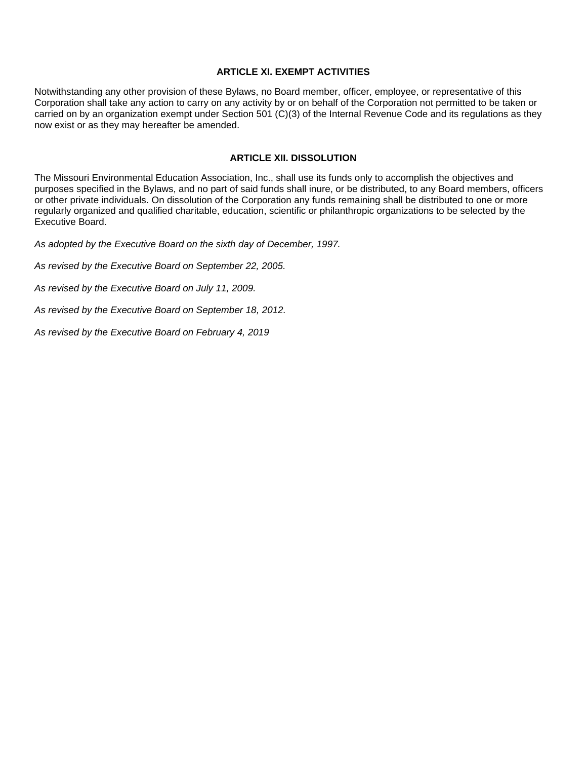### **ARTICLE XI. EXEMPT ACTIVITIES**

Notwithstanding any other provision of these Bylaws, no Board member, officer, employee, or representative of this Corporation shall take any action to carry on any activity by or on behalf of the Corporation not permitted to be taken or carried on by an organization exempt under Section 501 (C)(3) of the Internal Revenue Code and its regulations as they now exist or as they may hereafter be amended.

## **ARTICLE XII. DISSOLUTION**

The Missouri Environmental Education Association, Inc., shall use its funds only to accomplish the objectives and purposes specified in the Bylaws, and no part of said funds shall inure, or be distributed, to any Board members, officers or other private individuals. On dissolution of the Corporation any funds remaining shall be distributed to one or more regularly organized and qualified charitable, education, scientific or philanthropic organizations to be selected by the Executive Board.

*As adopted by the Executive Board on the sixth day of December, 1997.*

*As revised by the Executive Board on September 22, 2005.*

*As revised by the Executive Board on July 11, 2009.*

*As revised by the Executive Board on September 18, 2012.*

*As revised by the Executive Board on February 4, 2019*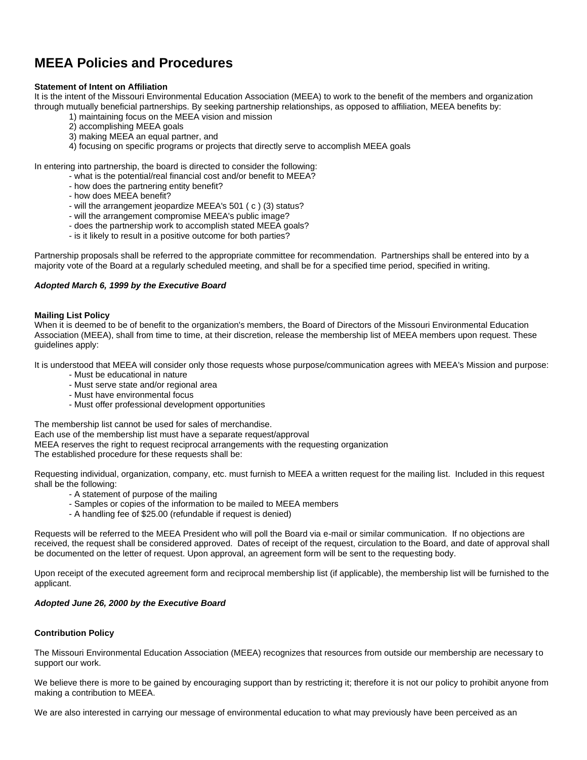# **MEEA Policies and Procedures**

#### **Statement of Intent on Affiliation**

It is the intent of the Missouri Environmental Education Association (MEEA) to work to the benefit of the members and organization through mutually beneficial partnerships. By seeking partnership relationships, as opposed to affiliation, MEEA benefits by:

- 1) maintaining focus on the MEEA vision and mission
- 2) accomplishing MEEA goals
- 3) making MEEA an equal partner, and
- 4) focusing on specific programs or projects that directly serve to accomplish MEEA goals

In entering into partnership, the board is directed to consider the following:

- what is the potential/real financial cost and/or benefit to MEEA?
- how does the partnering entity benefit?
- how does MEEA benefit?
- will the arrangement jeopardize MEEA's 501 ( c ) (3) status?
- will the arrangement compromise MEEA's public image?
- does the partnership work to accomplish stated MEEA goals?
- is it likely to result in a positive outcome for both parties?

Partnership proposals shall be referred to the appropriate committee for recommendation. Partnerships shall be entered into by a majority vote of the Board at a regularly scheduled meeting, and shall be for a specified time period, specified in writing.

#### *Adopted March 6, 1999 by the Executive Board*

#### **Mailing List Policy**

When it is deemed to be of benefit to the organization's members, the Board of Directors of the Missouri Environmental Education Association (MEEA), shall from time to time, at their discretion, release the membership list of MEEA members upon request. These guidelines apply:

It is understood that MEEA will consider only those requests whose purpose/communication agrees with MEEA's Mission and purpose:

- Must be educational in nature
- Must serve state and/or regional area
- Must have environmental focus
- Must offer professional development opportunities

The membership list cannot be used for sales of merchandise. Each use of the membership list must have a separate request/approval MEEA reserves the right to request reciprocal arrangements with the requesting organization The established procedure for these requests shall be:

Requesting individual, organization, company, etc. must furnish to MEEA a written request for the mailing list. Included in this request shall be the following:

- A statement of purpose of the mailing
- Samples or copies of the information to be mailed to MEEA members
- A handling fee of \$25.00 (refundable if request is denied)

Requests will be referred to the MEEA President who will poll the Board via e-mail or similar communication. If no objections are received, the request shall be considered approved. Dates of receipt of the request, circulation to the Board, and date of approval shall be documented on the letter of request. Upon approval, an agreement form will be sent to the requesting body.

Upon receipt of the executed agreement form and reciprocal membership list (if applicable), the membership list will be furnished to the applicant.

#### *Adopted June 26, 2000 by the Executive Board*

#### **Contribution Policy**

The Missouri Environmental Education Association (MEEA) recognizes that resources from outside our membership are necessary to support our work.

We believe there is more to be gained by encouraging support than by restricting it; therefore it is not our policy to prohibit anyone from making a contribution to MEEA.

We are also interested in carrying our message of environmental education to what may previously have been perceived as an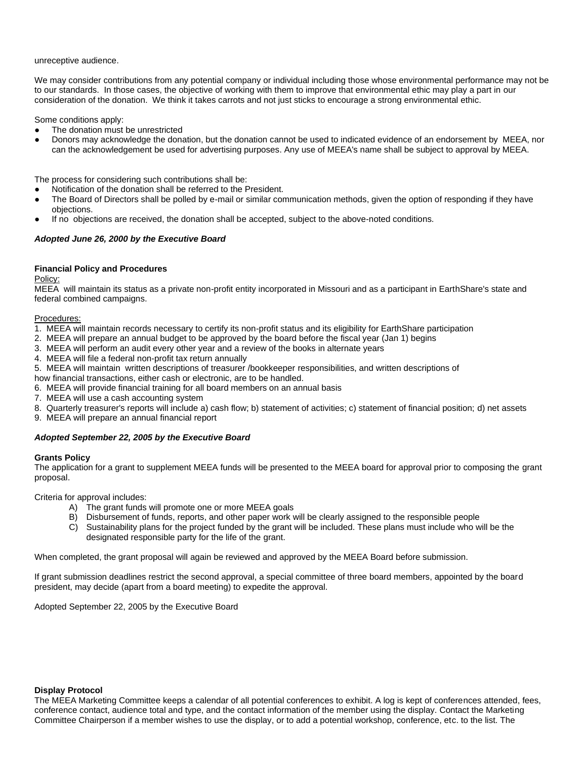#### unreceptive audience.

We may consider contributions from any potential company or individual including those whose environmental performance may not be to our standards. In those cases, the objective of working with them to improve that environmental ethic may play a part in our consideration of the donation. We think it takes carrots and not just sticks to encourage a strong environmental ethic.

Some conditions apply:

- The donation must be unrestricted
- Donors may acknowledge the donation, but the donation cannot be used to indicated evidence of an endorsement by MEEA, nor can the acknowledgement be used for advertising purposes. Any use of MEEA's name shall be subject to approval by MEEA.

The process for considering such contributions shall be:

- Notification of the donation shall be referred to the President.
- The Board of Directors shall be polled by e-mail or similar communication methods, given the option of responding if they have objections.
- If no objections are received, the donation shall be accepted, subject to the above-noted conditions.

#### *Adopted June 26, 2000 by the Executive Board*

#### **Financial Policy and Procedures**

Policy:

MEEA will maintain its status as a private non-profit entity incorporated in Missouri and as a participant in EarthShare's state and federal combined campaigns.

#### Procedures:

- 1. MEEA will maintain records necessary to certify its non-profit status and its eligibility for EarthShare participation
- 2. MEEA will prepare an annual budget to be approved by the board before the fiscal year (Jan 1) begins
- 3. MEEA will perform an audit every other year and a review of the books in alternate years
- 4. MEEA will file a federal non-profit tax return annually
- 5. MEEA will maintain written descriptions of treasurer /bookkeeper responsibilities, and written descriptions of
- how financial transactions, either cash or electronic, are to be handled.
- 6. MEEA will provide financial training for all board members on an annual basis
- 7. MEEA will use a cash accounting system
- 8. Quarterly treasurer's reports will include a) cash flow; b) statement of activities; c) statement of financial position; d) net assets
- 9. MEEA will prepare an annual financial report

#### *Adopted September 22, 2005 by the Executive Board*

#### **Grants Policy**

The application for a grant to supplement MEEA funds will be presented to the MEEA board for approval prior to composing the grant proposal.

Criteria for approval includes:

- A) The grant funds will promote one or more MEEA goals
- B) Disbursement of funds, reports, and other paper work will be clearly assigned to the responsible people
- C) Sustainability plans for the project funded by the grant will be included. These plans must include who will be the designated responsible party for the life of the grant.

When completed, the grant proposal will again be reviewed and approved by the MEEA Board before submission.

If grant submission deadlines restrict the second approval, a special committee of three board members, appointed by the board president, may decide (apart from a board meeting) to expedite the approval.

Adopted September 22, 2005 by the Executive Board

#### **Display Protocol**

The MEEA Marketing Committee keeps a calendar of all potential conferences to exhibit. A log is kept of conferences attended, fees, conference contact, audience total and type, and the contact information of the member using the display. Contact the Marketing Committee Chairperson if a member wishes to use the display, or to add a potential workshop, conference, etc. to the list. The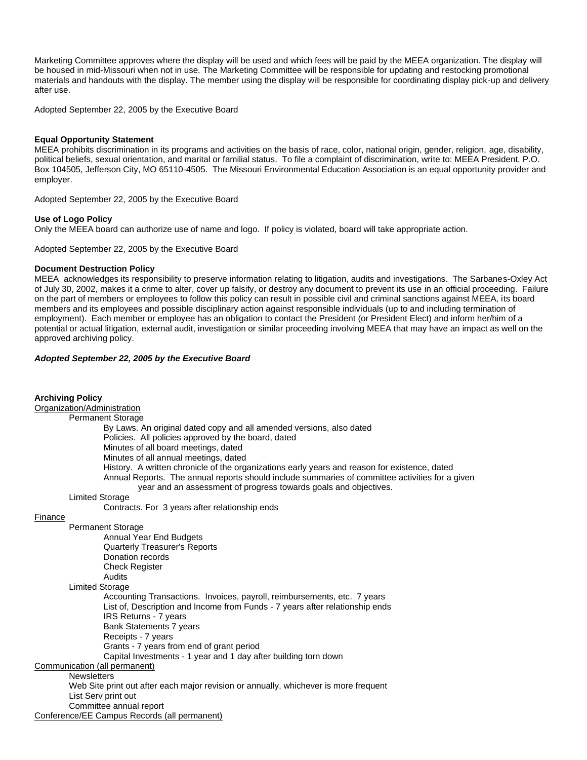Marketing Committee approves where the display will be used and which fees will be paid by the MEEA organization. The display will be housed in mid-Missouri when not in use. The Marketing Committee will be responsible for updating and restocking promotional materials and handouts with the display. The member using the display will be responsible for coordinating display pick-up and delivery after use.

Adopted September 22, 2005 by the Executive Board

#### **Equal Opportunity Statement**

MEEA prohibits discrimination in its programs and activities on the basis of race, color, national origin, gender, religion, age, disability, political beliefs, sexual orientation, and marital or familial status. To file a complaint of discrimination, write to: MEEA President, P.O. Box 104505, Jefferson City, MO 65110-4505. The Missouri Environmental Education Association is an equal opportunity provider and employer.

Adopted September 22, 2005 by the Executive Board

#### **Use of Logo Policy**

Only the MEEA board can authorize use of name and logo. If policy is violated, board will take appropriate action.

Adopted September 22, 2005 by the Executive Board

#### **Document Destruction Policy**

MEEA acknowledges its responsibility to preserve information relating to litigation, audits and investigations. The Sarbanes-Oxley Act of July 30, 2002, makes it a crime to alter, cover up falsify, or destroy any document to prevent its use in an official proceeding. Failure on the part of members or employees to follow this policy can result in possible civil and criminal sanctions against MEEA, its board members and its employees and possible disciplinary action against responsible individuals (up to and including termination of employment). Each member or employee has an obligation to contact the President (or President Elect) and inform her/him of a potential or actual litigation, external audit, investigation or similar proceeding involving MEEA that may have an impact as well on the approved archiving policy.

#### *Adopted September 22, 2005 by the Executive Board*

#### **Archiving Policy**

| лгонгин у голоу                                                                                                                                                                                  |
|--------------------------------------------------------------------------------------------------------------------------------------------------------------------------------------------------|
| Organization/Administration                                                                                                                                                                      |
| <b>Permanent Storage</b>                                                                                                                                                                         |
| By Laws. An original dated copy and all amended versions, also dated                                                                                                                             |
| Policies. All policies approved by the board, dated                                                                                                                                              |
| Minutes of all board meetings, dated                                                                                                                                                             |
| Minutes of all annual meetings, dated                                                                                                                                                            |
| History. A written chronicle of the organizations early years and reason for existence, dated<br>Annual Reports. The annual reports should include summaries of committee activities for a given |
| year and an assessment of progress towards goals and objectives.                                                                                                                                 |
| <b>Limited Storage</b>                                                                                                                                                                           |
| Contracts. For 3 years after relationship ends                                                                                                                                                   |
| Finance                                                                                                                                                                                          |
| <b>Permanent Storage</b>                                                                                                                                                                         |
| Annual Year End Budgets                                                                                                                                                                          |
| <b>Quarterly Treasurer's Reports</b>                                                                                                                                                             |
| Donation records                                                                                                                                                                                 |
| <b>Check Register</b>                                                                                                                                                                            |
| Audits                                                                                                                                                                                           |
| <b>Limited Storage</b>                                                                                                                                                                           |
| Accounting Transactions. Invoices, payroll, reimbursements, etc. 7 years                                                                                                                         |
| List of, Description and Income from Funds - 7 years after relationship ends                                                                                                                     |
| IRS Returns - 7 years                                                                                                                                                                            |
| Bank Statements 7 years                                                                                                                                                                          |
| Receipts - 7 years                                                                                                                                                                               |
| Grants - 7 years from end of grant period                                                                                                                                                        |
| Capital Investments - 1 year and 1 day after building torn down                                                                                                                                  |
| Communication (all permanent)                                                                                                                                                                    |
| <b>Newsletters</b>                                                                                                                                                                               |
| Web Site print out after each major revision or annually, whichever is more frequent                                                                                                             |
| List Serv print out                                                                                                                                                                              |
| Committee annual report                                                                                                                                                                          |
| Conference/EE Campus Records (all permanent)                                                                                                                                                     |
|                                                                                                                                                                                                  |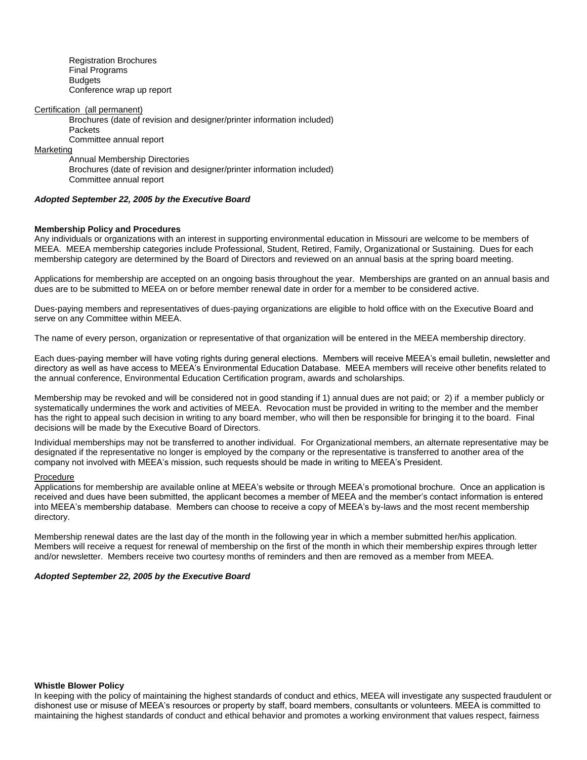Registration Brochures Final Programs Budgets Conference wrap up report

#### Certification (all permanent)

Brochures (date of revision and designer/printer information included) **Packets** Committee annual report

Marketing

Annual Membership Directories Brochures (date of revision and designer/printer information included) Committee annual report

#### *Adopted September 22, 2005 by the Executive Board*

#### **Membership Policy and Procedures**

Any individuals or organizations with an interest in supporting environmental education in Missouri are welcome to be members of MEEA. MEEA membership categories include Professional, Student, Retired, Family, Organizational or Sustaining. Dues for each membership category are determined by the Board of Directors and reviewed on an annual basis at the spring board meeting.

Applications for membership are accepted on an ongoing basis throughout the year. Memberships are granted on an annual basis and dues are to be submitted to MEEA on or before member renewal date in order for a member to be considered active.

Dues-paying members and representatives of dues-paying organizations are eligible to hold office with on the Executive Board and serve on any Committee within MEEA.

The name of every person, organization or representative of that organization will be entered in the MEEA membership directory.

Each dues-paying member will have voting rights during general elections. Members will receive MEEA's email bulletin, newsletter and directory as well as have access to MEEA's Environmental Education Database. MEEA members will receive other benefits related to the annual conference, Environmental Education Certification program, awards and scholarships.

Membership may be revoked and will be considered not in good standing if 1) annual dues are not paid; or 2) if a member publicly or systematically undermines the work and activities of MEEA. Revocation must be provided in writing to the member and the member has the right to appeal such decision in writing to any board member, who will then be responsible for bringing it to the board. Final decisions will be made by the Executive Board of Directors.

Individual memberships may not be transferred to another individual. For Organizational members, an alternate representative may be designated if the representative no longer is employed by the company or the representative is transferred to another area of the company not involved with MEEA's mission, such requests should be made in writing to MEEA's President.

#### Procedure

Applications for membership are available online at MEEA's website or through MEEA's promotional brochure. Once an application is received and dues have been submitted, the applicant becomes a member of MEEA and the member's contact information is entered into MEEA's membership database. Members can choose to receive a copy of MEEA's by-laws and the most recent membership directory.

Membership renewal dates are the last day of the month in the following year in which a member submitted her/his application. Members will receive a request for renewal of membership on the first of the month in which their membership expires through letter and/or newsletter. Members receive two courtesy months of reminders and then are removed as a member from MEEA.

#### *Adopted September 22, 2005 by the Executive Board*

#### **Whistle Blower Policy**

In keeping with the policy of maintaining the highest standards of conduct and ethics, MEEA will investigate any suspected fraudulent or dishonest use or misuse of MEEA's resources or property by staff, board members, consultants or volunteers. MEEA is committed to maintaining the highest standards of conduct and ethical behavior and promotes a working environment that values respect, fairness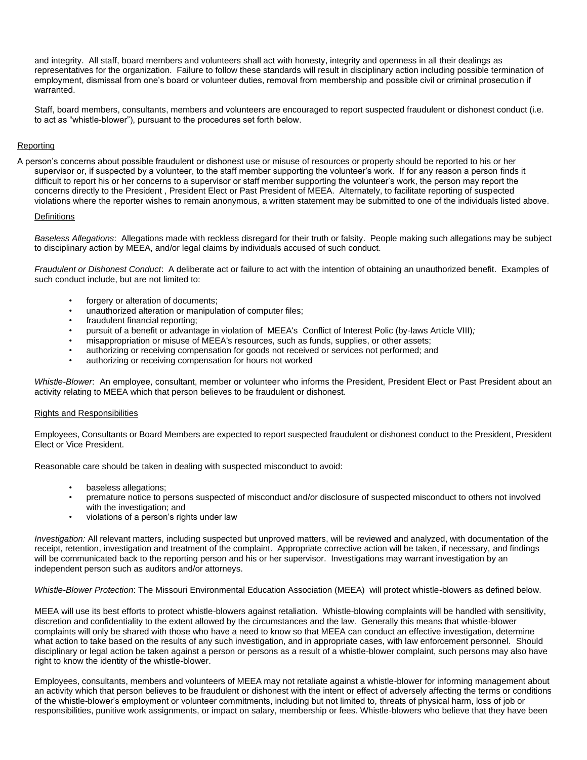and integrity. All staff, board members and volunteers shall act with honesty, integrity and openness in all their dealings as representatives for the organization. Failure to follow these standards will result in disciplinary action including possible termination of employment, dismissal from one's board or volunteer duties, removal from membership and possible civil or criminal prosecution if warranted.

Staff, board members, consultants, members and volunteers are encouraged to report suspected fraudulent or dishonest conduct (i.e. to act as "whistle-blower"), pursuant to the procedures set forth below.

#### **Reporting**

A person's concerns about possible fraudulent or dishonest use or misuse of resources or property should be reported to his or her supervisor or, if suspected by a volunteer, to the staff member supporting the volunteer's work. If for any reason a person finds it difficult to report his or her concerns to a supervisor or staff member supporting the volunteer's work, the person may report the concerns directly to the President , President Elect or Past President of MEEA. Alternately, to facilitate reporting of suspected violations where the reporter wishes to remain anonymous, a written statement may be submitted to one of the individuals listed above.

#### **Definitions**

*Baseless Allegations*: Allegations made with reckless disregard for their truth or falsity. People making such allegations may be subject to disciplinary action by MEEA, and/or legal claims by individuals accused of such conduct.

*Fraudulent or Dishonest Conduct*: A deliberate act or failure to act with the intention of obtaining an unauthorized benefit. Examples of such conduct include, but are not limited to:

- forgery or alteration of documents;
- unauthorized alteration or manipulation of computer files;
- fraudulent financial reporting;
- pursuit of a benefit or advantage in violation of MEEA's Conflict of Interest Polic (by-laws Article VIII)*;*
- misappropriation or misuse of MEEA's resources, such as funds, supplies, or other assets;
- authorizing or receiving compensation for goods not received or services not performed; and
- authorizing or receiving compensation for hours not worked

*Whistle-Blower*: An employee, consultant, member or volunteer who informs the President, President Elect or Past President about an activity relating to MEEA which that person believes to be fraudulent or dishonest.

#### Rights and Responsibilities

Employees, Consultants or Board Members are expected to report suspected fraudulent or dishonest conduct to the President, President Elect or Vice President.

Reasonable care should be taken in dealing with suspected misconduct to avoid:

- baseless allegations;
- premature notice to persons suspected of misconduct and/or disclosure of suspected misconduct to others not involved with the investigation; and
- violations of a person's rights under law

*Investigation:* All relevant matters, including suspected but unproved matters, will be reviewed and analyzed, with documentation of the receipt, retention, investigation and treatment of the complaint. Appropriate corrective action will be taken, if necessary, and findings will be communicated back to the reporting person and his or her supervisor. Investigations may warrant investigation by an independent person such as auditors and/or attorneys.

*Whistle-Blower Protection*: The Missouri Environmental Education Association (MEEA) will protect whistle-blowers as defined below.

MEEA will use its best efforts to protect whistle-blowers against retaliation. Whistle-blowing complaints will be handled with sensitivity, discretion and confidentiality to the extent allowed by the circumstances and the law. Generally this means that whistle-blower complaints will only be shared with those who have a need to know so that MEEA can conduct an effective investigation, determine what action to take based on the results of any such investigation, and in appropriate cases, with law enforcement personnel. Should disciplinary or legal action be taken against a person or persons as a result of a whistle-blower complaint, such persons may also have right to know the identity of the whistle-blower.

Employees, consultants, members and volunteers of MEEA may not retaliate against a whistle-blower for informing management about an activity which that person believes to be fraudulent or dishonest with the intent or effect of adversely affecting the terms or conditions of the whistle-blower's employment or volunteer commitments, including but not limited to, threats of physical harm, loss of job or responsibilities, punitive work assignments, or impact on salary, membership or fees. Whistle-blowers who believe that they have been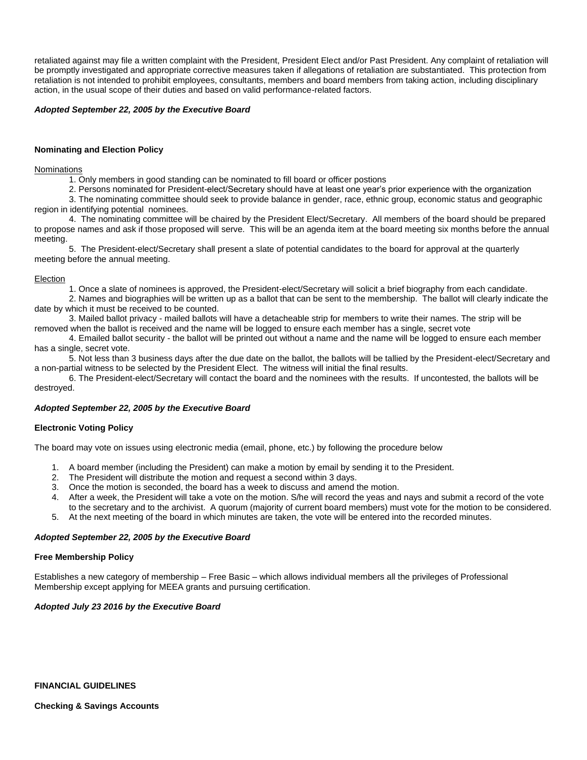retaliated against may file a written complaint with the President, President Elect and/or Past President. Any complaint of retaliation will be promptly investigated and appropriate corrective measures taken if allegations of retaliation are substantiated. This protection from retaliation is not intended to prohibit employees, consultants, members and board members from taking action, including disciplinary action, in the usual scope of their duties and based on valid performance-related factors.

#### *Adopted September 22, 2005 by the Executive Board*

#### **Nominating and Election Policy**

#### Nominations

1. Only members in good standing can be nominated to fill board or officer postions

2. Persons nominated for President-elect/Secretary should have at least one year's prior experience with the organization

3. The nominating committee should seek to provide balance in gender, race, ethnic group, economic status and geographic region in identifying potential nominees.

4. The nominating committee will be chaired by the President Elect/Secretary. All members of the board should be prepared to propose names and ask if those proposed will serve. This will be an agenda item at the board meeting six months before the annual meeting.

5. The President-elect/Secretary shall present a slate of potential candidates to the board for approval at the quarterly meeting before the annual meeting.

#### Election

1. Once a slate of nominees is approved, the President-elect/Secretary will solicit a brief biography from each candidate.

2. Names and biographies will be written up as a ballot that can be sent to the membership. The ballot will clearly indicate the date by which it must be received to be counted.

3. Mailed ballot privacy - mailed ballots will have a detacheable strip for members to write their names. The strip will be removed when the ballot is received and the name will be logged to ensure each member has a single, secret vote

4. Emailed ballot security - the ballot will be printed out without a name and the name will be logged to ensure each member has a single, secret vote.

5. Not less than 3 business days after the due date on the ballot, the ballots will be tallied by the President-elect/Secretary and a non-partial witness to be selected by the President Elect. The witness will initial the final results.

6. The President-elect/Secretary will contact the board and the nominees with the results. If uncontested, the ballots will be destroyed.

#### *Adopted September 22, 2005 by the Executive Board*

#### **Electronic Voting Policy**

The board may vote on issues using electronic media (email, phone, etc.) by following the procedure below

- 1. A board member (including the President) can make a motion by email by sending it to the President.
- 2. The President will distribute the motion and request a second within 3 days.
- 3. Once the motion is seconded, the board has a week to discuss and amend the motion.
- 4. After a week, the President will take a vote on the motion. S/he will record the yeas and nays and submit a record of the vote to the secretary and to the archivist. A quorum (majority of current board members) must vote for the motion to be considered.
- 5. At the next meeting of the board in which minutes are taken, the vote will be entered into the recorded minutes.

#### *Adopted September 22, 2005 by the Executive Board*

#### **Free Membership Policy**

Establishes a new category of membership – Free Basic – which allows individual members all the privileges of Professional Membership except applying for MEEA grants and pursuing certification.

#### *Adopted July 23 2016 by the Executive Board*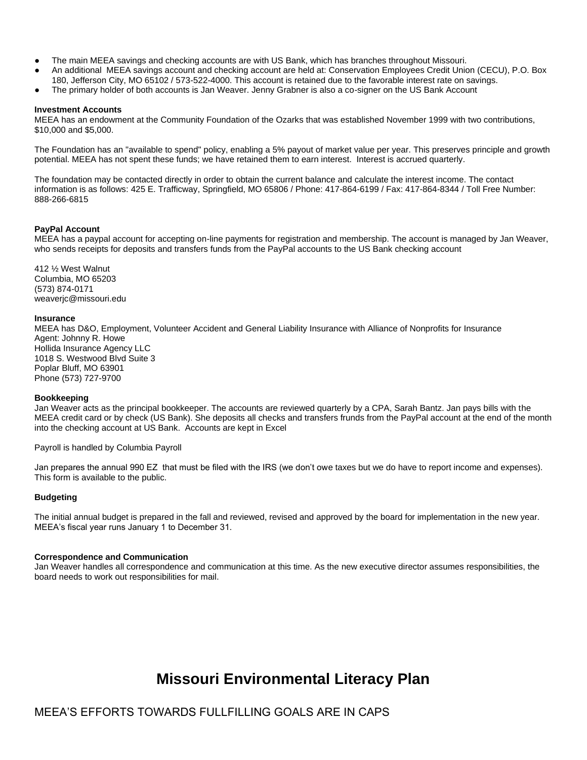- The main MEEA savings and checking accounts are with US Bank, which has branches throughout Missouri.
- An additional MEEA savings account and checking account are held at: Conservation Employees Credit Union (CECU), P.O. Box
- 180, Jefferson City, MO 65102 / 573-522-4000. This account is retained due to the favorable interest rate on savings.
- The primary holder of both accounts is Jan Weaver. Jenny Grabner is also a co-signer on the US Bank Account

#### **Investment Accounts**

MEEA has an endowment at the Community Foundation of the Ozarks that was established November 1999 with two contributions, \$10,000 and \$5,000.

The Foundation has an "available to spend" policy, enabling a 5% payout of market value per year. This preserves principle and growth potential. MEEA has not spent these funds; we have retained them to earn interest. Interest is accrued quarterly.

The foundation may be contacted directly in order to obtain the current balance and calculate the interest income. The contact information is as follows: 425 E. Trafficway, Springfield, MO 65806 / Phone: 417-864-6199 / Fax: 417-864-8344 / Toll Free Number: 888-266-6815

#### **PayPal Account**

MEEA has a paypal account for accepting on-line payments for registration and membership. The account is managed by Jan Weaver, who sends receipts for deposits and transfers funds from the PayPal accounts to the US Bank checking account

412 ½ West Walnut Columbia, MO 65203 (573) 874-0171 weaverjc@missouri.edu

#### **Insurance**

MEEA has D&O, Employment, Volunteer Accident and General Liability Insurance with Alliance of Nonprofits for Insurance Agent: Johnny R. Howe Hollida Insurance Agency LLC 1018 S. Westwood Blvd Suite 3 Poplar Bluff, MO 63901 Phone (573) 727-9700

#### **Bookkeeping**

Jan Weaver acts as the principal bookkeeper. The accounts are reviewed quarterly by a CPA, Sarah Bantz. Jan pays bills with the MEEA credit card or by check (US Bank). She deposits all checks and transfers frunds from the PayPal account at the end of the month into the checking account at US Bank. Accounts are kept in Excel

Payroll is handled by Columbia Payroll

Jan prepares the annual 990 EZ that must be filed with the IRS (we don't owe taxes but we do have to report income and expenses). This form is available to the public.

#### **Budgeting**

The initial annual budget is prepared in the fall and reviewed, revised and approved by the board for implementation in the new year. MEEA's fiscal year runs January 1 to December 31.

#### **Correspondence and Communication**

Jan Weaver handles all correspondence and communication at this time. As the new executive director assumes responsibilities, the board needs to work out responsibilities for mail.

# **Missouri Environmental Literacy Plan**